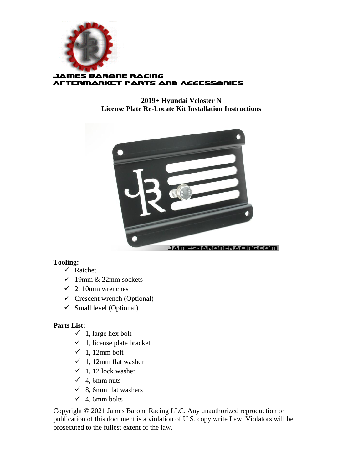

**2019+ Hyundai Veloster N License Plate Re-Locate Kit Installation Instructions**



## **Tooling:**

- $\checkmark$  Ratchet
- $\checkmark$  19mm & 22mm sockets
- $\checkmark$  2, 10mm wrenches
- $\checkmark$  Crescent wrench (Optional)
- $\checkmark$  Small level (Optional)

## **Parts List:**

- $\checkmark$  1, large hex bolt
- $\checkmark$  1, license plate bracket
- $\checkmark$  1, 12mm bolt
- $\checkmark$  1, 12mm flat washer
- $\checkmark$  1, 12 lock washer
- $\checkmark$  4, 6mm nuts
- $\checkmark$  8, 6mm flat washers
- $\checkmark$  4, 6mm bolts

Copyright © 2021 James Barone Racing LLC. Any unauthorized reproduction or publication of this document is a violation of U.S. copy write Law. Violators will be prosecuted to the fullest extent of the law.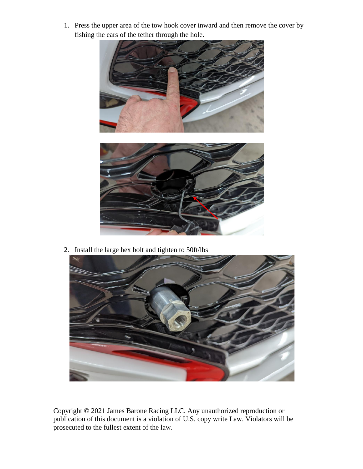1. Press the upper area of the tow hook cover inward and then remove the cover by fishing the ears of the tether through the hole.



2. Install the large hex bolt and tighten to 50ft/lbs



Copyright © 2021 James Barone Racing LLC. Any unauthorized reproduction or publication of this document is a violation of U.S. copy write Law. Violators will be prosecuted to the fullest extent of the law.